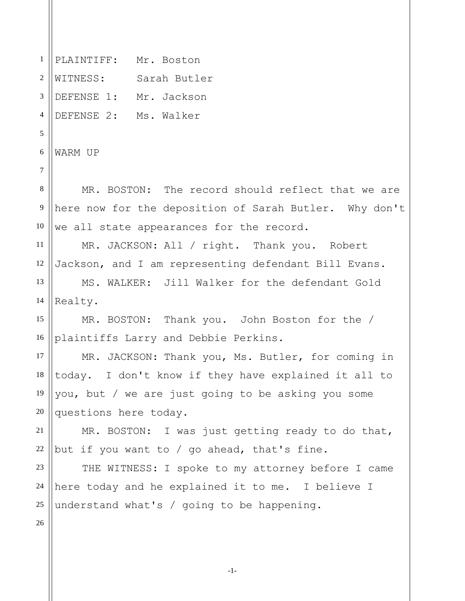1 2 3 4 5 6 7 8 9 10 11 12 13 14 15 16 17 18 19 20 21 22 23 24 25 26 PLAINTIFF: Mr. Boston WITNESS: Sarah Butler DEFENSE 1: Mr. Jackson DEFENSE 2: Ms. Walker WARM UP MR. BOSTON: The record should reflect that we are here now for the deposition of Sarah Butler. Why don't we all state appearances for the record. MR. JACKSON: All / right. Thank you. Robert Jackson, and I am representing defendant Bill Evans. MS. WALKER: Jill Walker for the defendant Gold Realty. MR. BOSTON: Thank you. John Boston for the / plaintiffs Larry and Debbie Perkins. MR. JACKSON: Thank you, Ms. Butler, for coming in today. I don't know if they have explained it all to you, but / we are just going to be asking you some questions here today. MR. BOSTON: I was just getting ready to do that, but if you want to / go ahead, that's fine. THE WITNESS: I spoke to my attorney before I came here today and he explained it to me. I believe I understand what's / going to be happening.

-1-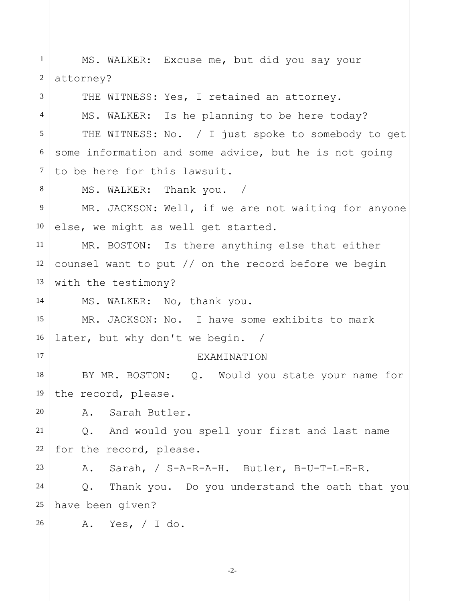| $\mathbf{1}$   | MS. WALKER: Excuse me, but did you say your             |
|----------------|---------------------------------------------------------|
| 2              | attorney?                                               |
| 3              | THE WITNESS: Yes, I retained an attorney.               |
| $\overline{4}$ | MS. WALKER: Is he planning to be here today?            |
| 5              | THE WITNESS: No. / I just spoke to somebody to get      |
| 6              | some information and some advice, but he is not going   |
| 7              | to be here for this lawsuit.                            |
| 8              | MS. WALKER: Thank you. /                                |
| 9              | MR. JACKSON: Well, if we are not waiting for anyone     |
| 10             | else, we might as well get started.                     |
| 11             | MR. BOSTON: Is there anything else that either          |
| 12             | counsel want to put // on the record before we begin    |
| 13             | with the testimony?                                     |
| 14             | MS. WALKER: No, thank you.                              |
| 15             | MR. JACKSON: No. I have some exhibits to mark           |
| 16             | later, but why don't we begin. /                        |
| 17             | <b>EXAMINATION</b>                                      |
| 18             | Q. Would you state your name for<br>BY MR. BOSTON:      |
| 19             | the record, please.                                     |
| 20             | Sarah Butler.<br>Α.                                     |
| 21             | And would you spell your first and last name<br>$Q$ .   |
| 22             | for the record, please.                                 |
| 23             | Sarah, / S-A-R-A-H. Butler, B-U-T-L-E-R.<br>Α.          |
| 24             | Thank you. Do you understand the oath that you<br>$Q$ . |
| 25             | have been given?                                        |
| 26             | A. Yes, / I do.                                         |
|                |                                                         |

-2-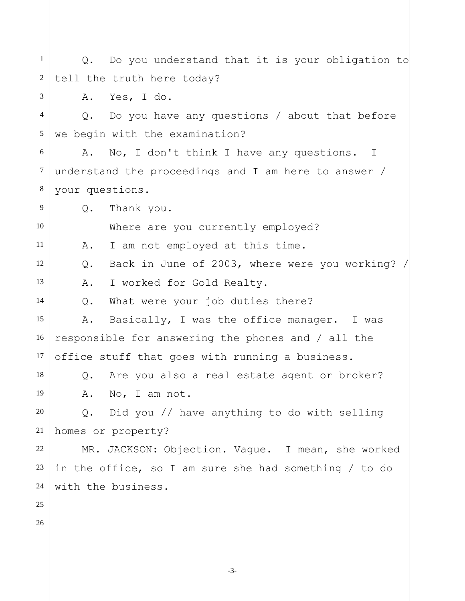1 2 3 4 5 6 7 8 9 10 11 12 13 14 15 16 17 18 19 20 21 22 23 24 25 26 Q. Do you understand that it is your obligation to tell the truth here today? A. Yes, I do. Q. Do you have any questions / about that before we begin with the examination? A. No, I don't think I have any questions. I understand the proceedings and I am here to answer / your questions. Q. Thank you. Where are you currently employed? A. I am not employed at this time. Q. Back in June of 2003, where were you working? / A. I worked for Gold Realty. Q. What were your job duties there? A. Basically, I was the office manager. I was responsible for answering the phones and / all the office stuff that goes with running a business. Q. Are you also a real estate agent or broker? A. No, I am not. Q. Did you // have anything to do with selling homes or property? MR. JACKSON: Objection. Vague. I mean, she worked in the office, so I am sure she had something / to do with the business.

-3-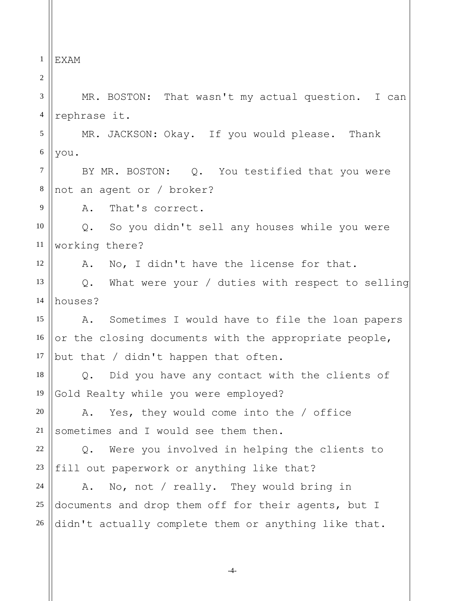1 EXAM

2

9

12

3 4 MR. BOSTON: That wasn't my actual question. I can rephrase it.

5 6 MR. JACKSON: Okay. If you would please. Thank you.

7 8 BY MR. BOSTON: Q. You testified that you were not an agent or / broker?

A. That's correct.

10 11 Q. So you didn't sell any houses while you were working there?

A. No, I didn't have the license for that.

13 14 Q. What were your / duties with respect to selling houses?

15 16 17 A. Sometimes I would have to file the loan papers or the closing documents with the appropriate people, but that / didn't happen that often.

18 19 Q. Did you have any contact with the clients of Gold Realty while you were employed?

20 21 A. Yes, they would come into the / office sometimes and I would see them then.

22 23 Q. Were you involved in helping the clients to fill out paperwork or anything like that?

24 25 26 A. No, not / really. They would bring in documents and drop them off for their agents, but I didn't actually complete them or anything like that.

-4-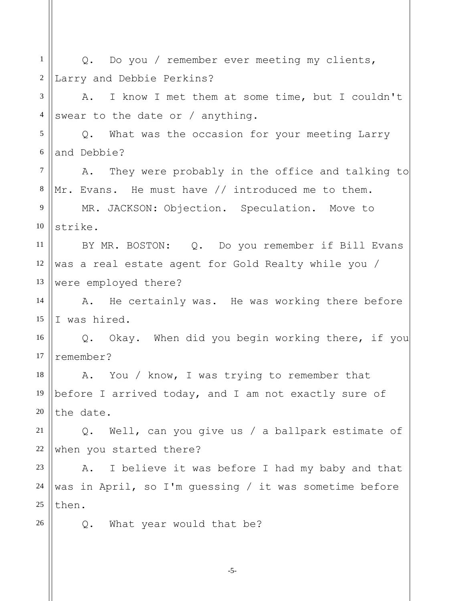| $\mathbf{1}$     | Q. Do you / remember ever meeting my clients,          |
|------------------|--------------------------------------------------------|
| $\boldsymbol{2}$ | Larry and Debbie Perkins?                              |
| 3                | I know I met them at some time, but I couldn't<br>Α.   |
| $\overline{4}$   | swear to the date or $/$ anything.                     |
| 5                | Q. What was the occasion for your meeting Larry        |
| $6\,$            | and Debbie?                                            |
| $\overline{7}$   | A. They were probably in the office and talking to     |
| $8\,$            | Mr. Evans. He must have // introduced me to them.      |
| 9                | MR. JACKSON: Objection. Speculation. Move to           |
| 10               | strike.                                                |
| 11               | BY MR. BOSTON: Q. Do you remember if Bill Evans        |
| 12               | was a real estate agent for Gold Realty while you /    |
| 13               | were employed there?                                   |
| 14               | A. He certainly was. He was working there before       |
| 15               | I was hired.                                           |
| 16               | Q. Okay. When did you begin working there, if you      |
| 17               | remember?                                              |
| 18               | A. You / know, I was trying to remember that           |
| 19               | before I arrived today, and I am not exactly sure of   |
| 20               | the date.                                              |
| 21               | Q. Well, can you give us / a ballpark estimate of      |
| 22               | when you started there?                                |
| 23               | A. I believe it was before I had my baby and that      |
| 24               | was in April, so I'm guessing / it was sometime before |
| $25\,$           | then.                                                  |
| 26               | What year would that be?<br>Q.                         |
|                  |                                                        |
|                  |                                                        |

-5-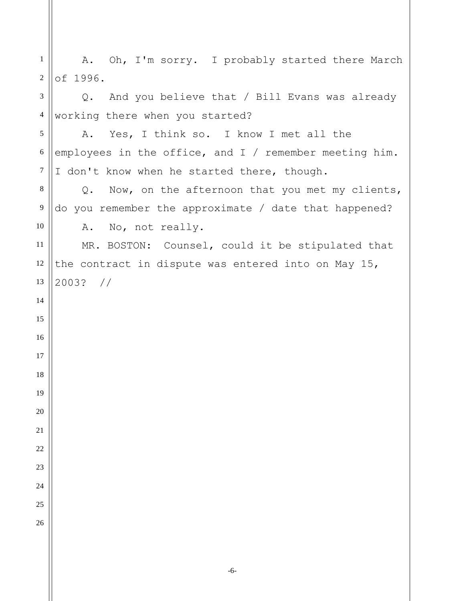| $\mathbf{1}$     | A. Oh, I'm sorry. I probably started there March         |
|------------------|----------------------------------------------------------|
| $\sqrt{2}$       | of 1996.                                                 |
| 3                | Q. And you believe that / Bill Evans was already         |
| $\overline{4}$   | working there when you started?                          |
| $\sqrt{5}$       | A. Yes, I think so. I know I met all the                 |
| $\sqrt{6}$       | employees in the office, and $I /$ remember meeting him. |
| $\boldsymbol{7}$ | I don't know when he started there, though.              |
| $8\,$            | Q. Now, on the afternoon that you met my clients,        |
| $\boldsymbol{9}$ | do you remember the approximate / date that happened?    |
| $10\,$           | A. No, not really.                                       |
| 11               | MR. BOSTON: Counsel, could it be stipulated that         |
| 12               | the contract in dispute was entered into on May 15,      |
| 13               | $2003?$ //                                               |
| 14               |                                                          |
| 15               |                                                          |
| 16               |                                                          |
| 17               |                                                          |
| 18               |                                                          |
| 19               |                                                          |
| 20               |                                                          |
| 21               |                                                          |
| 22               |                                                          |
| 23               |                                                          |
| 24               |                                                          |
| 25               |                                                          |
| 26               |                                                          |
|                  |                                                          |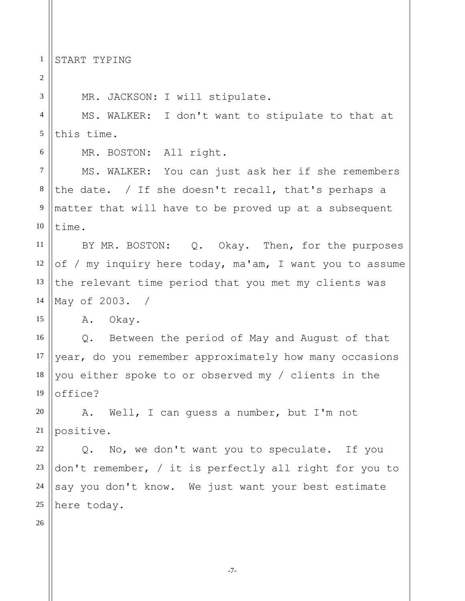1 START TYPING

2 3 4 5 6 7 8 9 10 11 12 13 14 15 16 17 18 19 20 21 22 23 24 25 26 MR. JACKSON: I will stipulate. MS. WALKER: I don't want to stipulate to that at this time. MR. BOSTON: All right. MS. WALKER: You can just ask her if she remembers the date. / If she doesn't recall, that's perhaps a matter that will have to be proved up at a subsequent time. BY MR. BOSTON: Q. Okay. Then, for the purposes of / my inquiry here today, ma'am, I want you to assume the relevant time period that you met my clients was May of 2003. / A. Okay. Q. Between the period of May and August of that year, do you remember approximately how many occasions you either spoke to or observed my / clients in the office? A. Well, I can guess a number, but I'm not positive. Q. No, we don't want you to speculate. If you don't remember, / it is perfectly all right for you to say you don't know. We just want your best estimate here today.

-7-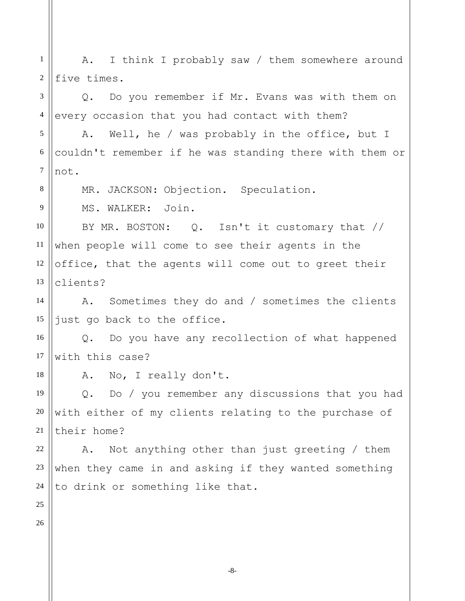1 2 3 4 5 6 7 8 9 10 11 12 13 14 15 16 17 18 19 20 21 22 23 24 25 26 A. I think I probably saw / them somewhere around five times. Q. Do you remember if Mr. Evans was with them on every occasion that you had contact with them? A. Well, he / was probably in the office, but I couldn't remember if he was standing there with them or not. MR. JACKSON: Objection. Speculation. MS. WALKER: Join. BY MR. BOSTON: Q. Isn't it customary that // when people will come to see their agents in the office, that the agents will come out to greet their clients? A. Sometimes they do and / sometimes the clients just go back to the office. Q. Do you have any recollection of what happened with this case? A. No, I really don't. Q. Do / you remember any discussions that you had with either of my clients relating to the purchase of their home? A. Not anything other than just greeting / them when they came in and asking if they wanted something to drink or something like that.

-8-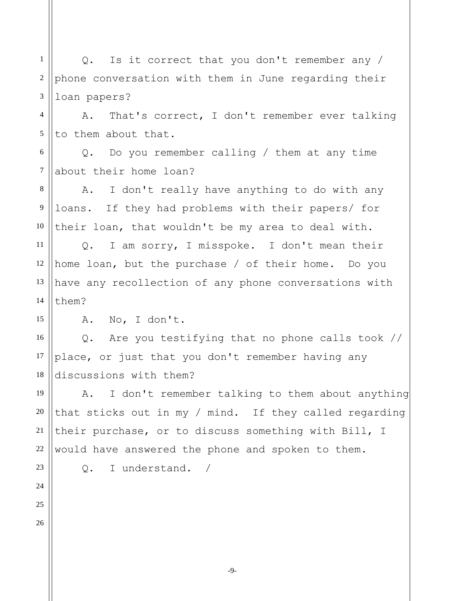1 2 3 Q. Is it correct that you don't remember any / phone conversation with them in June regarding their loan papers?

4 5 A. That's correct, I don't remember ever talking to them about that.

6 7 Q. Do you remember calling / them at any time about their home loan?

8 9 10 A. I don't really have anything to do with any loans. If they had problems with their papers/ for their loan, that wouldn't be my area to deal with.

11 12 13 14 Q. I am sorry, I misspoke. I don't mean their home loan, but the purchase / of their home. Do you have any recollection of any phone conversations with them?

A. No, I don't.

Q. Are you testifying that no phone calls took // place, or just that you don't remember having any discussions with them?

19 20 22 A. I don't remember talking to them about anything that sticks out in my / mind. If they called regarding their purchase, or to discuss something with Bill, I would have answered the phone and spoken to them.

Q. I understand. /

23 24 25

26

15

16

17

18

21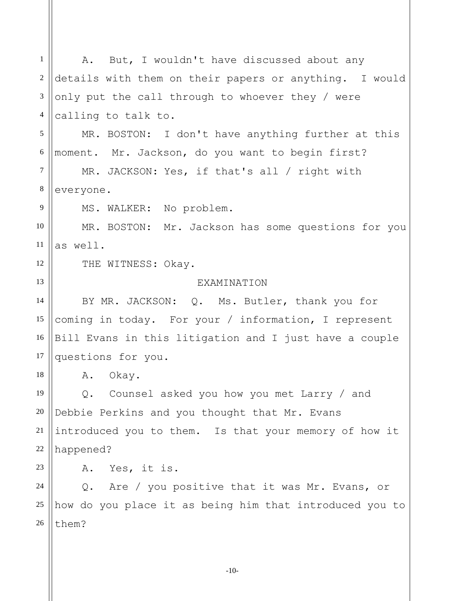1 2 3 4 5 6 7 8 9 10 11 12 13 14 15 16 17 18 19 20 21 22 23 24 25 26 A. But, I wouldn't have discussed about any details with them on their papers or anything. I would only put the call through to whoever they / were calling to talk to. MR. BOSTON: I don't have anything further at this moment. Mr. Jackson, do you want to begin first? MR. JACKSON: Yes, if that's all / right with everyone. MS. WALKER: No problem. MR. BOSTON: Mr. Jackson has some questions for you as well. THE WITNESS: Okay. **EXAMINATION** BY MR. JACKSON: Q. Ms. Butler, thank you for coming in today. For your / information, I represent Bill Evans in this litigation and I just have a couple questions for you. A. Okay. Q. Counsel asked you how you met Larry / and Debbie Perkins and you thought that Mr. Evans introduced you to them. Is that your memory of how it happened? A. Yes, it is. Q. Are / you positive that it was Mr. Evans, or how do you place it as being him that introduced you to them?

-10-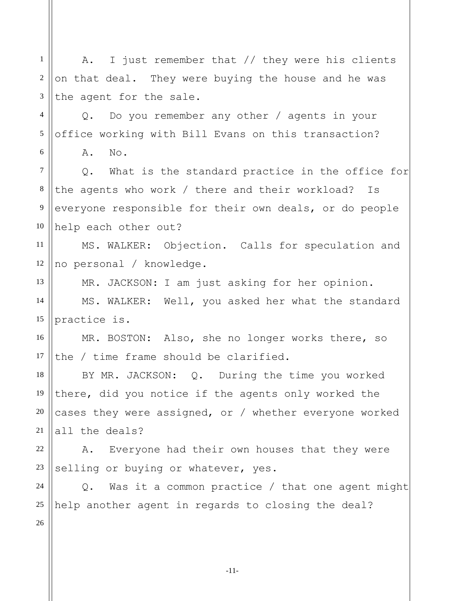1 2 3 4 5 6 7 8 9 10 11 12 13 14 15 16 17 18 19 20 21 22 23 24 25 26 A. I just remember that // they were his clients on that deal. They were buying the house and he was the agent for the sale. Q. Do you remember any other / agents in your office working with Bill Evans on this transaction? A. No. Q. What is the standard practice in the office for the agents who work / there and their workload? Is everyone responsible for their own deals, or do people help each other out? MS. WALKER: Objection. Calls for speculation and no personal / knowledge. MR. JACKSON: I am just asking for her opinion. MS. WALKER: Well, you asked her what the standard practice is. MR. BOSTON: Also, she no longer works there, so the / time frame should be clarified. BY MR. JACKSON: Q. During the time you worked there, did you notice if the agents only worked the cases they were assigned, or / whether everyone worked all the deals? A. Everyone had their own houses that they were selling or buying or whatever, yes. Q. Was it a common practice / that one agent might help another agent in regards to closing the deal?

-11-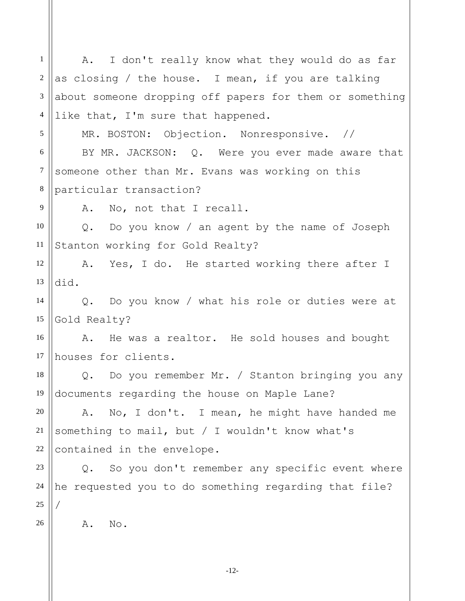1 2 3 4 5 6 7 8 9 10 11 12 13 14 15 16 17 18 19 20 21 22 23 24 25 26 A. I don't really know what they would do as far as closing / the house. I mean, if you are talking about someone dropping off papers for them or something like that, I'm sure that happened. MR. BOSTON: Objection. Nonresponsive. // BY MR. JACKSON: Q. Were you ever made aware that someone other than Mr. Evans was working on this particular transaction? A. No, not that I recall. Q. Do you know / an agent by the name of Joseph Stanton working for Gold Realty? A. Yes, I do. He started working there after I did. Q. Do you know / what his role or duties were at Gold Realty? A. He was a realtor. He sold houses and bought houses for clients. Q. Do you remember Mr. / Stanton bringing you any documents regarding the house on Maple Lane? A. No, I don't. I mean, he might have handed me something to mail, but / I wouldn't know what's contained in the envelope. Q. So you don't remember any specific event where he requested you to do something regarding that file? / A. No.

-12-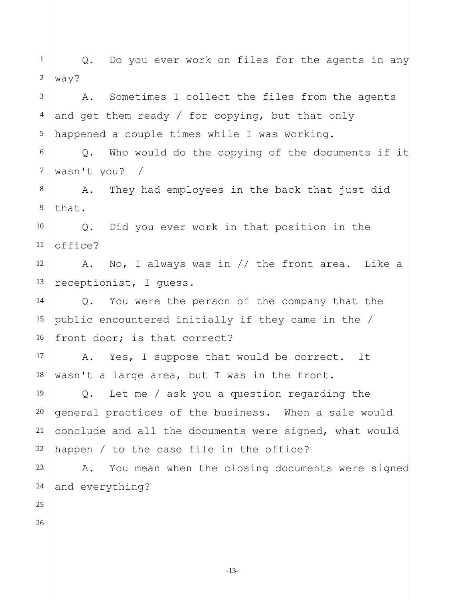1 2 3 4 5 6 7 8 9 10 11 12 13 14 15 16 17 18 19 20 21 22 23 24 25 26 Q. Do you ever work on files for the agents in any way? A. Sometimes I collect the files from the agents and get them ready / for copying, but that only happened a couple times while I was working. Q. Who would do the copying of the documents if it wasn't you? / A. They had employees in the back that just did that. Q. Did you ever work in that position in the office? A. No, I always was in // the front area. Like a receptionist, I guess. Q. You were the person of the company that the public encountered initially if they came in the / front door; is that correct? A. Yes, I suppose that would be correct. It wasn't a large area, but I was in the front. Q. Let me / ask you a question regarding the general practices of the business. When a sale would conclude and all the documents were signed, what would happen / to the case file in the office? A. You mean when the closing documents were signed and everything?

-13-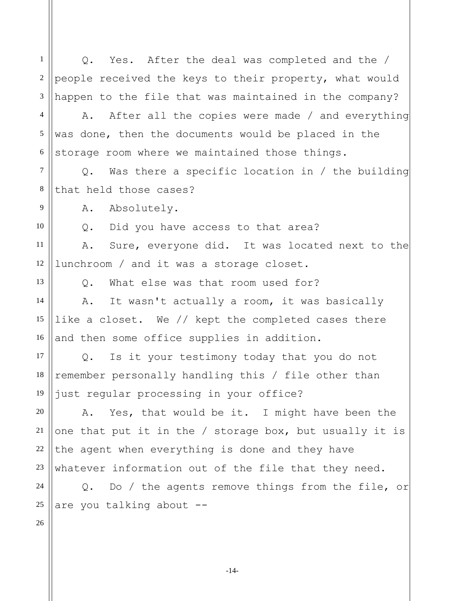1 2 3 4 5 6 7 8 9 10 11 12 13 14 15 16 17 18 19 20 21 22 23 24 25 26 Q. Yes. After the deal was completed and the / people received the keys to their property, what would happen to the file that was maintained in the company? A. After all the copies were made / and everything was done, then the documents would be placed in the storage room where we maintained those things. Q. Was there a specific location in / the building that held those cases? A. Absolutely. Q. Did you have access to that area? A. Sure, everyone did. It was located next to the lunchroom / and it was a storage closet. Q. What else was that room used for? A. It wasn't actually a room, it was basically like a closet. We // kept the completed cases there and then some office supplies in addition. Q. Is it your testimony today that you do not remember personally handling this / file other than just regular processing in your office? A. Yes, that would be it. I might have been the one that put it in the / storage box, but usually it is the agent when everything is done and they have whatever information out of the file that they need. Q. Do / the agents remove things from the file, or are you talking about --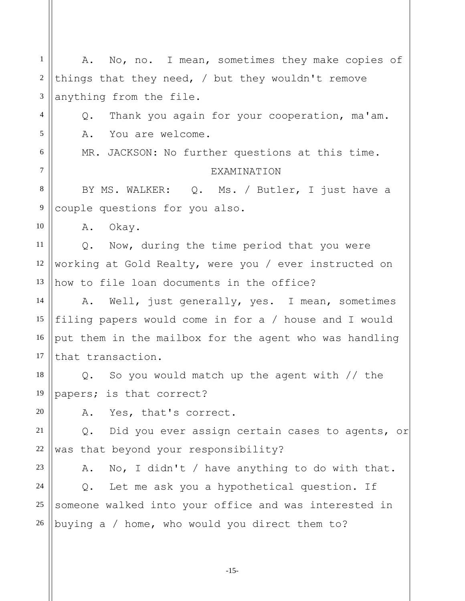1 2 3 4 5 6 7 8 9 10 11 12 13 14 15 16 17 18 19 20 21 22 23 24 25 26 A. No, no. I mean, sometimes they make copies of things that they need, / but they wouldn't remove anything from the file. Q. Thank you again for your cooperation, ma'am. A. You are welcome. MR. JACKSON: No further questions at this time. **EXAMINATION** BY MS. WALKER: Q. Ms. / Butler, I just have a couple questions for you also. A. Okay. Q. Now, during the time period that you were working at Gold Realty, were you / ever instructed on how to file loan documents in the office? A. Well, just generally, yes. I mean, sometimes filing papers would come in for a / house and I would put them in the mailbox for the agent who was handling that transaction. Q. So you would match up the agent with // the papers; is that correct? A. Yes, that's correct. Q. Did you ever assign certain cases to agents, or was that beyond your responsibility? A. No, I didn't / have anything to do with that. Q. Let me ask you a hypothetical question. If someone walked into your office and was interested in buying a / home, who would you direct them to?

-15-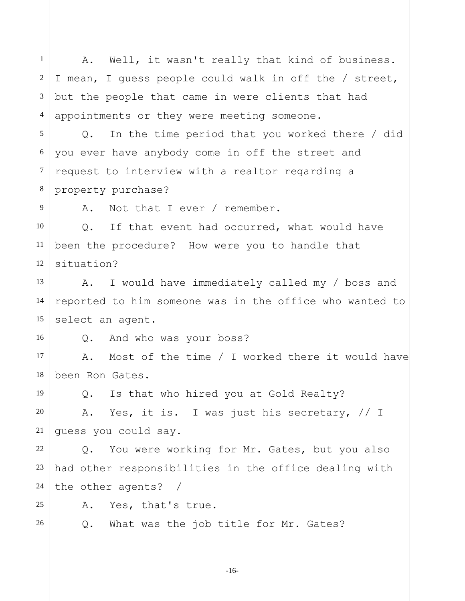1 2 3 4 5 6 7 8 9 10 11 12 13 14 15 16 17 18 19 20 21 22 23 24 25 26 A. Well, it wasn't really that kind of business. I mean, I guess people could walk in off the / street, but the people that came in were clients that had appointments or they were meeting someone. Q. In the time period that you worked there / did you ever have anybody come in off the street and request to interview with a realtor regarding a property purchase? A. Not that I ever / remember. Q. If that event had occurred, what would have been the procedure? How were you to handle that situation? A. I would have immediately called my / boss and reported to him someone was in the office who wanted to select an agent. Q. And who was your boss? A. Most of the time / I worked there it would have been Ron Gates. Q. Is that who hired you at Gold Realty? A. Yes, it is. I was just his secretary, // I guess you could say. Q. You were working for Mr. Gates, but you also had other responsibilities in the office dealing with the other agents? / A. Yes, that's true. Q. What was the job title for Mr. Gates?

-16-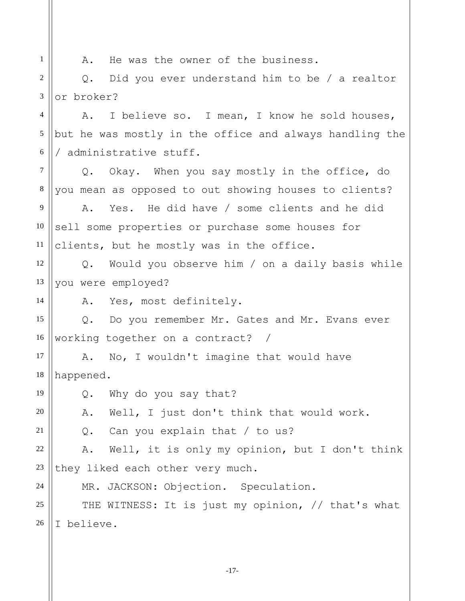1 2 3 4 5 6 7 8 9 10 11 12 13 14 15 16 17 18 19 20 21 22 23 24 25 26 A. He was the owner of the business. Q. Did you ever understand him to be / a realtor or broker? A. I believe so. I mean, I know he sold houses, but he was mostly in the office and always handling the / administrative stuff. Q. Okay. When you say mostly in the office, do you mean as opposed to out showing houses to clients? A. Yes. He did have / some clients and he did sell some properties or purchase some houses for clients, but he mostly was in the office. Q. Would you observe him / on a daily basis while you were employed? A. Yes, most definitely. Q. Do you remember Mr. Gates and Mr. Evans ever working together on a contract? / A. No, I wouldn't imagine that would have happened. Q. Why do you say that? A. Well, I just don't think that would work. Q. Can you explain that / to us? A. Well, it is only my opinion, but I don't think they liked each other very much. MR. JACKSON: Objection. Speculation. THE WITNESS: It is just my opinion, // that's what I believe.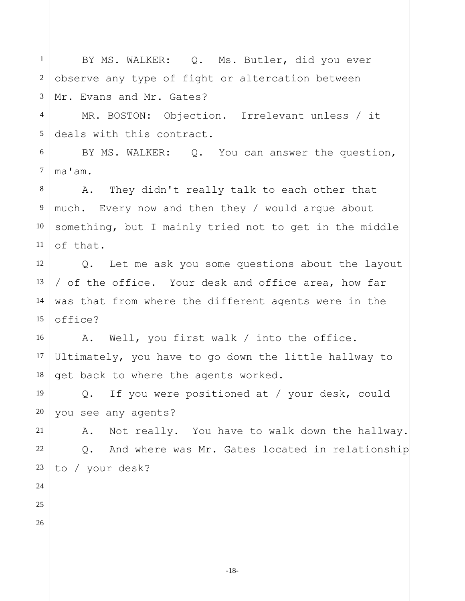1 2 3 4 5 6 7 8 9 10 11 12 13 14 15 16 17 18 19 20 21 22 23 24 25 26 BY MS. WALKER: Q. Ms. Butler, did you ever observe any type of fight or altercation between Mr. Evans and Mr. Gates? MR. BOSTON: Objection. Irrelevant unless / it deals with this contract. BY MS. WALKER: Q. You can answer the question, ma'am. A. They didn't really talk to each other that much. Every now and then they / would argue about something, but I mainly tried not to get in the middle of that. Q. Let me ask you some questions about the layout / of the office. Your desk and office area, how far was that from where the different agents were in the office? A. Well, you first walk / into the office. Ultimately, you have to go down the little hallway to get back to where the agents worked. Q. If you were positioned at / your desk, could you see any agents? A. Not really. You have to walk down the hallway. Q. And where was Mr. Gates located in relationship to / your desk?

-18-